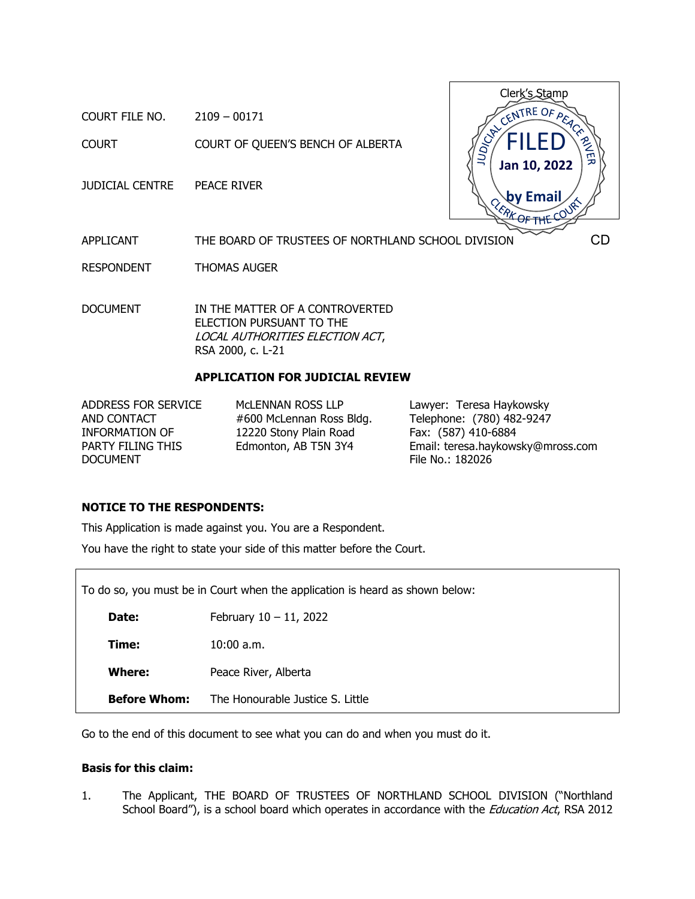COURT FILE NO. 2109 – 00171

COURT COURT OF QUEEN'S BENCH OF ALBERTA

JUDICIAL CENTRE PEACE RIVER



APPLICANT THE BOARD OF TRUSTEES OF NORTHLAND SCHOOL DIVISION

RESPONDENT THOMAS AUGER

DOCUMENT IN THE MATTER OF A CONTROVERTED ELECTION PURSUANT TO THE LOCAL AUTHORITIES ELECTION ACT, RSA 2000, c. L-21

## **APPLICATION FOR JUDICIAL REVIEW**

ADDRESS FOR SERVICE AND CONTACT INFORMATION OF PARTY FILING THIS DOCUMENT

McLENNAN ROSS LLP #600 McLennan Ross Bldg. 12220 Stony Plain Road Edmonton, AB T5N 3Y4

Lawyer: Teresa Haykowsky Telephone: (780) 482-9247 Fax: (587) 410-6884 Email: teresa.haykowsky@mross.com File No.: 182026

### **NOTICE TO THE RESPONDENTS:**

This Application is made against you. You are a Respondent.

You have the right to state your side of this matter before the Court.

| To do so, you must be in Court when the application is heard as shown below: |                                  |  |  |
|------------------------------------------------------------------------------|----------------------------------|--|--|
| Date:                                                                        | February $10 - 11$ , 2022        |  |  |
| Time:                                                                        | $10:00$ a.m.                     |  |  |
| Where:                                                                       | Peace River, Alberta             |  |  |
| <b>Before Whom:</b>                                                          | The Honourable Justice S. Little |  |  |

Go to the end of this document to see what you can do and when you must do it.

## **Basis for this claim:**

1. The Applicant, THE BOARD OF TRUSTEES OF NORTHLAND SCHOOL DIVISION ("Northland School Board"), is a school board which operates in accordance with the *Education Act*, RSA 2012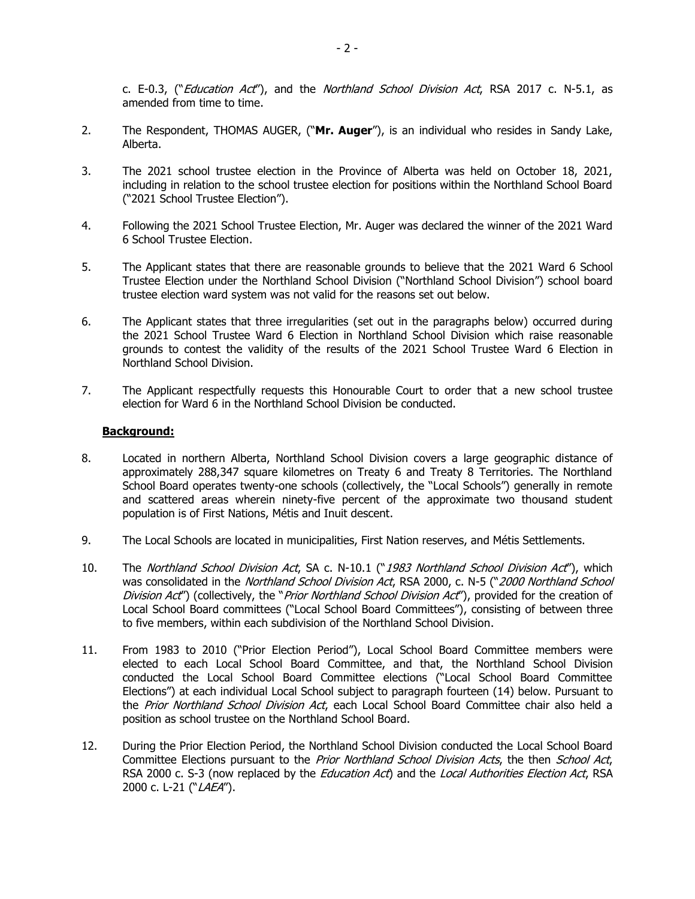c. E-0.3, ("*Education Act"*), and the *Northland School Division Act*, RSA 2017 c. N-5.1, as amended from time to time.

- 2. The Respondent, THOMAS AUGER, ("**Mr. Auger**"), is an individual who resides in Sandy Lake, Alberta.
- 3. The 2021 school trustee election in the Province of Alberta was held on October 18, 2021, including in relation to the school trustee election for positions within the Northland School Board ("2021 School Trustee Election").
- 4. Following the 2021 School Trustee Election, Mr. Auger was declared the winner of the 2021 Ward 6 School Trustee Election.
- 5. The Applicant states that there are reasonable grounds to believe that the 2021 Ward 6 School Trustee Election under the Northland School Division ("Northland School Division") school board trustee election ward system was not valid for the reasons set out below.
- 6. The Applicant states that three irregularities (set out in the paragraphs below) occurred during the 2021 School Trustee Ward 6 Election in Northland School Division which raise reasonable grounds to contest the validity of the results of the 2021 School Trustee Ward 6 Election in Northland School Division.
- 7. The Applicant respectfully requests this Honourable Court to order that a new school trustee election for Ward 6 in the Northland School Division be conducted.

### **Background:**

- 8. Located in northern Alberta, Northland School Division covers a large geographic distance of approximately 288,347 square kilometres on Treaty 6 and Treaty 8 Territories. The Northland School Board operates twenty-one schools (collectively, the "Local Schools") generally in remote and scattered areas wherein ninety-five percent of the approximate two thousand student population is of First Nations, Métis and Inuit descent.
- 9. The Local Schools are located in municipalities, First Nation reserves, and Métis Settlements.
- 10. The Northland School Division Act, SA c. N-10.1 ("1983 Northland School Division Act"), which was consolidated in the Northland School Division Act, RSA 2000, c. N-5 ("2000 Northland School Division Act") (collectively, the "Prior Northland School Division Act"), provided for the creation of Local School Board committees ("Local School Board Committees"), consisting of between three to five members, within each subdivision of the Northland School Division.
- 11. From 1983 to 2010 ("Prior Election Period"), Local School Board Committee members were elected to each Local School Board Committee, and that, the Northland School Division conducted the Local School Board Committee elections ("Local School Board Committee Elections") at each individual Local School subject to paragraph fourteen (14) below. Pursuant to the Prior Northland School Division Act, each Local School Board Committee chair also held a position as school trustee on the Northland School Board.
- 12. During the Prior Election Period, the Northland School Division conducted the Local School Board Committee Elections pursuant to the Prior Northland School Division Acts, the then School Act, RSA 2000 c. S-3 (now replaced by the *Education Act*) and the *Local Authorities Election Act*, RSA 2000 c. L-21 ("LAEA").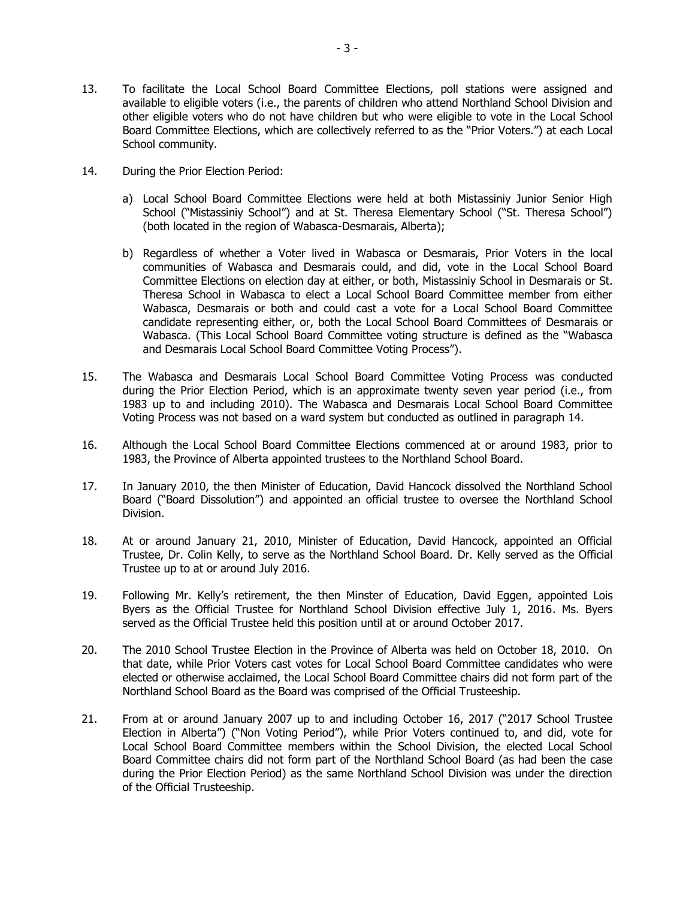- 14. During the Prior Election Period:
	- a) Local School Board Committee Elections were held at both Mistassiniy Junior Senior High School ("Mistassiniy School") and at St. Theresa Elementary School ("St. Theresa School") (both located in the region of Wabasca-Desmarais, Alberta);
	- b) Regardless of whether a Voter lived in Wabasca or Desmarais, Prior Voters in the local communities of Wabasca and Desmarais could, and did, vote in the Local School Board Committee Elections on election day at either, or both, Mistassiniy School in Desmarais or St. Theresa School in Wabasca to elect a Local School Board Committee member from either Wabasca, Desmarais or both and could cast a vote for a Local School Board Committee candidate representing either, or, both the Local School Board Committees of Desmarais or Wabasca. (This Local School Board Committee voting structure is defined as the "Wabasca and Desmarais Local School Board Committee Voting Process").
- 15. The Wabasca and Desmarais Local School Board Committee Voting Process was conducted during the Prior Election Period, which is an approximate twenty seven year period (i.e., from 1983 up to and including 2010). The Wabasca and Desmarais Local School Board Committee Voting Process was not based on a ward system but conducted as outlined in paragraph 14.
- 16. Although the Local School Board Committee Elections commenced at or around 1983, prior to 1983, the Province of Alberta appointed trustees to the Northland School Board.
- 17. In January 2010, the then Minister of Education, David Hancock dissolved the Northland School Board ("Board Dissolution") and appointed an official trustee to oversee the Northland School Division.
- 18. At or around January 21, 2010, Minister of Education, David Hancock, appointed an Official Trustee, Dr. Colin Kelly, to serve as the Northland School Board. Dr. Kelly served as the Official Trustee up to at or around July 2016.
- 19. Following Mr. Kelly's retirement, the then Minster of Education, David Eggen, appointed Lois Byers as the Official Trustee for Northland School Division effective July 1, 2016. Ms. Byers served as the Official Trustee held this position until at or around October 2017.
- 20. The 2010 School Trustee Election in the Province of Alberta was held on October 18, 2010. On that date, while Prior Voters cast votes for Local School Board Committee candidates who were elected or otherwise acclaimed, the Local School Board Committee chairs did not form part of the Northland School Board as the Board was comprised of the Official Trusteeship.
- 21. From at or around January 2007 up to and including October 16, 2017 ("2017 School Trustee Election in Alberta") ("Non Voting Period"), while Prior Voters continued to, and did, vote for Local School Board Committee members within the School Division, the elected Local School Board Committee chairs did not form part of the Northland School Board (as had been the case during the Prior Election Period) as the same Northland School Division was under the direction of the Official Trusteeship.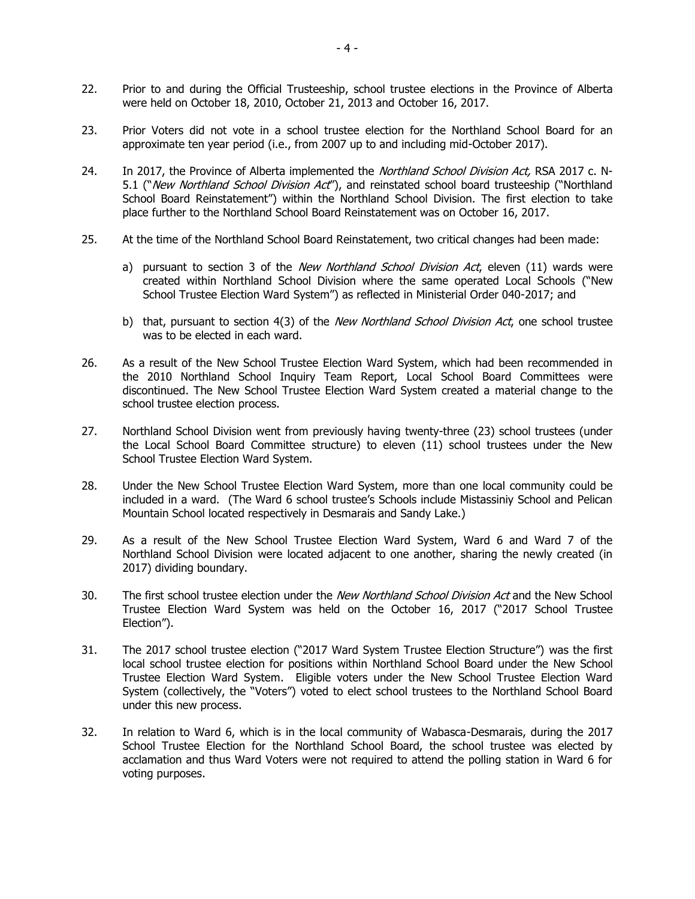- 22. Prior to and during the Official Trusteeship, school trustee elections in the Province of Alberta were held on October 18, 2010, October 21, 2013 and October 16, 2017.
- 23. Prior Voters did not vote in a school trustee election for the Northland School Board for an approximate ten year period (i.e., from 2007 up to and including mid-October 2017).
- 24. In 2017, the Province of Alberta implemented the *Northland School Division Act*, RSA 2017 c. N-5.1 ("New Northland School Division Act"), and reinstated school board trusteeship ("Northland School Board Reinstatement") within the Northland School Division. The first election to take place further to the Northland School Board Reinstatement was on October 16, 2017.
- 25. At the time of the Northland School Board Reinstatement, two critical changes had been made:
	- a) pursuant to section 3 of the New Northland School Division Act, eleven (11) wards were created within Northland School Division where the same operated Local Schools ("New School Trustee Election Ward System") as reflected in Ministerial Order 040-2017; and
	- b) that, pursuant to section 4(3) of the *New Northland School Division Act*, one school trustee was to be elected in each ward.
- 26. As a result of the New School Trustee Election Ward System, which had been recommended in the 2010 Northland School Inquiry Team Report, Local School Board Committees were discontinued. The New School Trustee Election Ward System created a material change to the school trustee election process.
- 27. Northland School Division went from previously having twenty-three (23) school trustees (under the Local School Board Committee structure) to eleven (11) school trustees under the New School Trustee Election Ward System.
- 28. Under the New School Trustee Election Ward System, more than one local community could be included in a ward. (The Ward 6 school trustee's Schools include Mistassiniy School and Pelican Mountain School located respectively in Desmarais and Sandy Lake.)
- 29. As a result of the New School Trustee Election Ward System, Ward 6 and Ward 7 of the Northland School Division were located adjacent to one another, sharing the newly created (in 2017) dividing boundary.
- 30. The first school trustee election under the New Northland School Division Act and the New School Trustee Election Ward System was held on the October 16, 2017 ("2017 School Trustee Election").
- 31. The 2017 school trustee election ("2017 Ward System Trustee Election Structure") was the first local school trustee election for positions within Northland School Board under the New School Trustee Election Ward System. Eligible voters under the New School Trustee Election Ward System (collectively, the "Voters") voted to elect school trustees to the Northland School Board under this new process.
- 32. In relation to Ward 6, which is in the local community of Wabasca-Desmarais, during the 2017 School Trustee Election for the Northland School Board, the school trustee was elected by acclamation and thus Ward Voters were not required to attend the polling station in Ward 6 for voting purposes.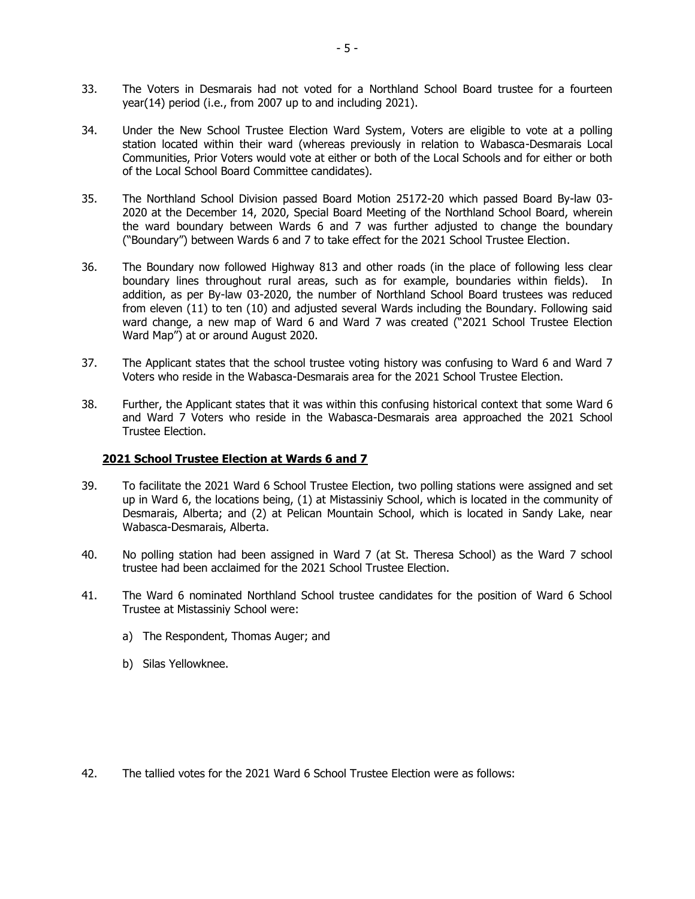- 33. The Voters in Desmarais had not voted for a Northland School Board trustee for a fourteen year(14) period (i.e., from 2007 up to and including 2021).
- 34. Under the New School Trustee Election Ward System, Voters are eligible to vote at a polling station located within their ward (whereas previously in relation to Wabasca-Desmarais Local Communities, Prior Voters would vote at either or both of the Local Schools and for either or both of the Local School Board Committee candidates).
- 35. The Northland School Division passed Board Motion 25172-20 which passed Board By-law 03- 2020 at the December 14, 2020, Special Board Meeting of the Northland School Board, wherein the ward boundary between Wards 6 and 7 was further adjusted to change the boundary ("Boundary") between Wards 6 and 7 to take effect for the 2021 School Trustee Election.
- 36. The Boundary now followed Highway 813 and other roads (in the place of following less clear boundary lines throughout rural areas, such as for example, boundaries within fields). In addition, as per By-law 03-2020, the number of Northland School Board trustees was reduced from eleven (11) to ten (10) and adjusted several Wards including the Boundary. Following said ward change, a new map of Ward 6 and Ward 7 was created ("2021 School Trustee Election Ward Map") at or around August 2020.
- 37. The Applicant states that the school trustee voting history was confusing to Ward 6 and Ward 7 Voters who reside in the Wabasca-Desmarais area for the 2021 School Trustee Election.
- 38. Further, the Applicant states that it was within this confusing historical context that some Ward 6 and Ward 7 Voters who reside in the Wabasca-Desmarais area approached the 2021 School Trustee Election.

# **2021 School Trustee Election at Wards 6 and 7**

- 39. To facilitate the 2021 Ward 6 School Trustee Election, two polling stations were assigned and set up in Ward 6, the locations being, (1) at Mistassiniy School, which is located in the community of Desmarais, Alberta; and (2) at Pelican Mountain School, which is located in Sandy Lake, near Wabasca-Desmarais, Alberta.
- 40. No polling station had been assigned in Ward 7 (at St. Theresa School) as the Ward 7 school trustee had been acclaimed for the 2021 School Trustee Election.
- 41. The Ward 6 nominated Northland School trustee candidates for the position of Ward 6 School Trustee at Mistassiniy School were:
	- a) The Respondent, Thomas Auger; and
	- b) Silas Yellowknee.

42. The tallied votes for the 2021 Ward 6 School Trustee Election were as follows: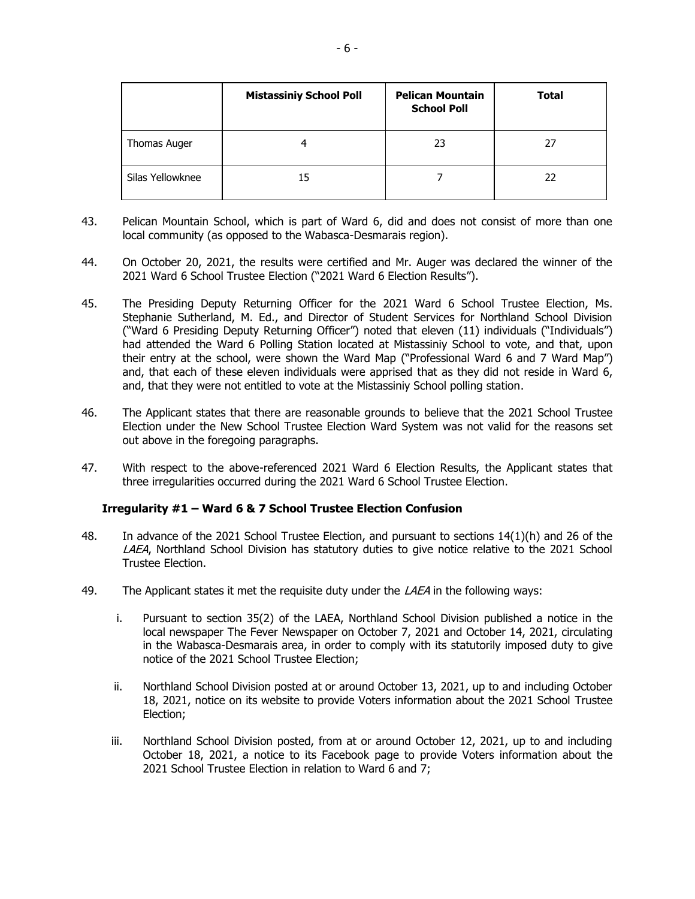|                  | <b>Mistassiniy School Poll</b> | <b>Pelican Mountain</b><br><b>School Poll</b> | <b>Total</b> |
|------------------|--------------------------------|-----------------------------------------------|--------------|
| Thomas Auger     |                                | 23                                            | 27           |
| Silas Yellowknee | 15                             |                                               | 22           |

- 43. Pelican Mountain School, which is part of Ward 6, did and does not consist of more than one local community (as opposed to the Wabasca-Desmarais region).
- 44. On October 20, 2021, the results were certified and Mr. Auger was declared the winner of the 2021 Ward 6 School Trustee Election ("2021 Ward 6 Election Results").
- 45. The Presiding Deputy Returning Officer for the 2021 Ward 6 School Trustee Election, Ms. Stephanie Sutherland, M. Ed., and Director of Student Services for Northland School Division ("Ward 6 Presiding Deputy Returning Officer") noted that eleven (11) individuals ("Individuals") had attended the Ward 6 Polling Station located at Mistassiniy School to vote, and that, upon their entry at the school, were shown the Ward Map ("Professional Ward 6 and 7 Ward Map") and, that each of these eleven individuals were apprised that as they did not reside in Ward 6, and, that they were not entitled to vote at the Mistassiniy School polling station.
- 46. The Applicant states that there are reasonable grounds to believe that the 2021 School Trustee Election under the New School Trustee Election Ward System was not valid for the reasons set out above in the foregoing paragraphs.
- 47. With respect to the above-referenced 2021 Ward 6 Election Results, the Applicant states that three irregularities occurred during the 2021 Ward 6 School Trustee Election.

### **Irregularity #1 – Ward 6 & 7 School Trustee Election Confusion**

- 48. In advance of the 2021 School Trustee Election, and pursuant to sections 14(1)(h) and 26 of the LAEA, Northland School Division has statutory duties to give notice relative to the 2021 School Trustee Election.
- 49. The Applicant states it met the requisite duty under the  $\angle AEA$  in the following ways:
	- i. Pursuant to section 35(2) of the LAEA, Northland School Division published a notice in the local newspaper The Fever Newspaper on October 7, 2021 and October 14, 2021, circulating in the Wabasca-Desmarais area, in order to comply with its statutorily imposed duty to give notice of the 2021 School Trustee Election;
	- ii. Northland School Division posted at or around October 13, 2021, up to and including October 18, 2021, notice on its website to provide Voters information about the 2021 School Trustee Election;
	- iii. Northland School Division posted, from at or around October 12, 2021, up to and including October 18, 2021, a notice to its Facebook page to provide Voters information about the 2021 School Trustee Election in relation to Ward 6 and 7;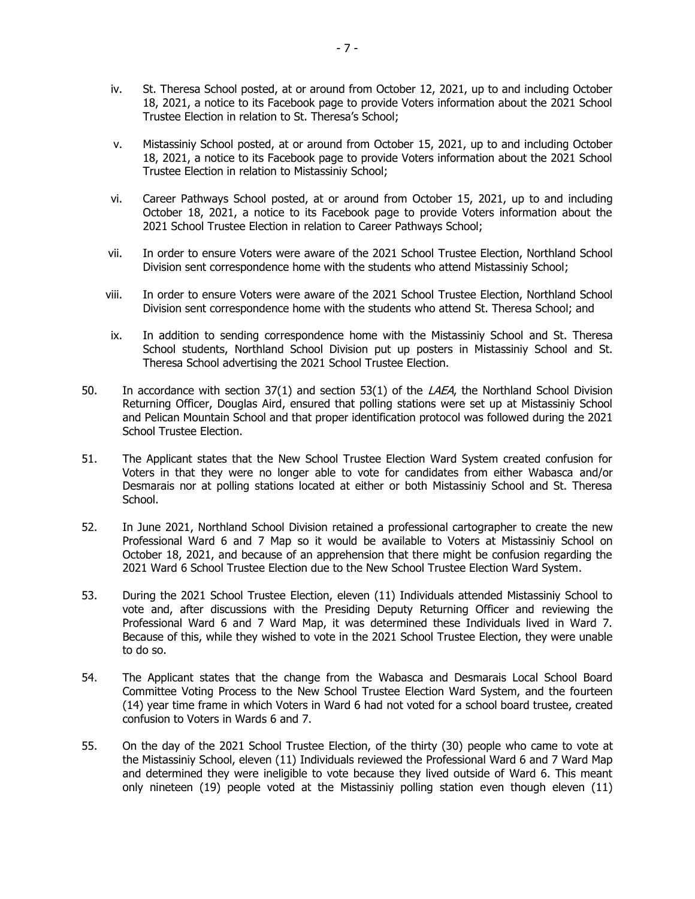- iv. St. Theresa School posted, at or around from October 12, 2021, up to and including October 18, 2021, a notice to its Facebook page to provide Voters information about the 2021 School Trustee Election in relation to St. Theresa's School;
- v. Mistassiniy School posted, at or around from October 15, 2021, up to and including October 18, 2021, a notice to its Facebook page to provide Voters information about the 2021 School Trustee Election in relation to Mistassiniy School;
- vi. Career Pathways School posted, at or around from October 15, 2021, up to and including October 18, 2021, a notice to its Facebook page to provide Voters information about the 2021 School Trustee Election in relation to Career Pathways School;
- vii. In order to ensure Voters were aware of the 2021 School Trustee Election, Northland School Division sent correspondence home with the students who attend Mistassiniy School;
- viii. In order to ensure Voters were aware of the 2021 School Trustee Election, Northland School Division sent correspondence home with the students who attend St. Theresa School; and
- ix. In addition to sending correspondence home with the Mistassiniy School and St. Theresa School students, Northland School Division put up posters in Mistassiniy School and St. Theresa School advertising the 2021 School Trustee Election.
- 50. In accordance with section  $37(1)$  and section  $53(1)$  of the *LAEA*, the Northland School Division Returning Officer, Douglas Aird, ensured that polling stations were set up at Mistassiniy School and Pelican Mountain School and that proper identification protocol was followed during the 2021 School Trustee Election.
- 51. The Applicant states that the New School Trustee Election Ward System created confusion for Voters in that they were no longer able to vote for candidates from either Wabasca and/or Desmarais nor at polling stations located at either or both Mistassiniy School and St. Theresa School.
- 52. In June 2021, Northland School Division retained a professional cartographer to create the new Professional Ward 6 and 7 Map so it would be available to Voters at Mistassiniy School on October 18, 2021, and because of an apprehension that there might be confusion regarding the 2021 Ward 6 School Trustee Election due to the New School Trustee Election Ward System.
- 53. During the 2021 School Trustee Election, eleven (11) Individuals attended Mistassiniy School to vote and, after discussions with the Presiding Deputy Returning Officer and reviewing the Professional Ward 6 and 7 Ward Map, it was determined these Individuals lived in Ward 7. Because of this, while they wished to vote in the 2021 School Trustee Election, they were unable to do so.
- 54. The Applicant states that the change from the Wabasca and Desmarais Local School Board Committee Voting Process to the New School Trustee Election Ward System, and the fourteen (14) year time frame in which Voters in Ward 6 had not voted for a school board trustee, created confusion to Voters in Wards 6 and 7.
- 55. On the day of the 2021 School Trustee Election, of the thirty (30) people who came to vote at the Mistassiniy School, eleven (11) Individuals reviewed the Professional Ward 6 and 7 Ward Map and determined they were ineligible to vote because they lived outside of Ward 6. This meant only nineteen (19) people voted at the Mistassiniy polling station even though eleven (11)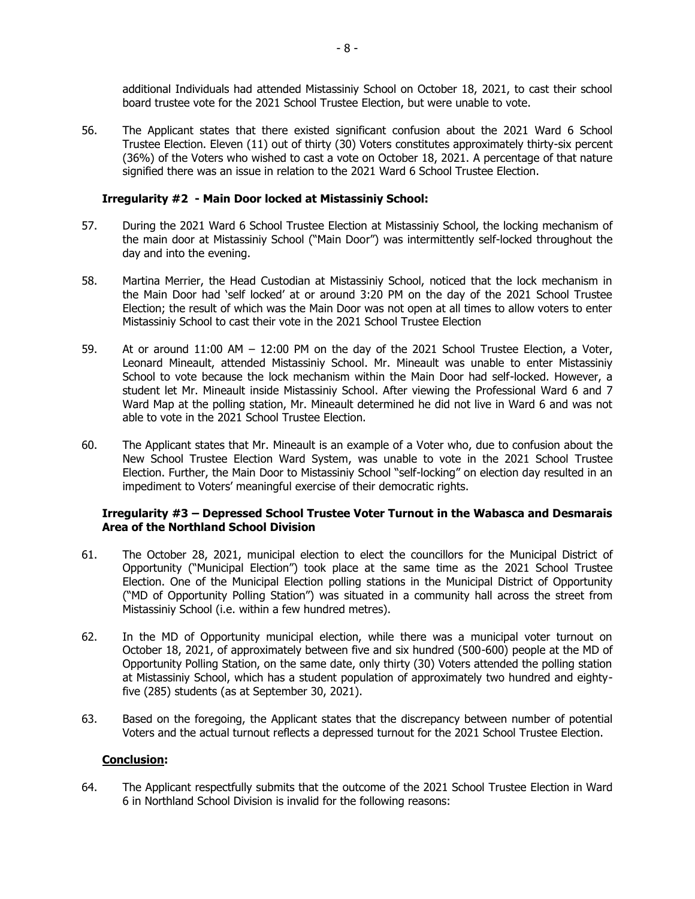additional Individuals had attended Mistassiniy School on October 18, 2021, to cast their school board trustee vote for the 2021 School Trustee Election, but were unable to vote.

56. The Applicant states that there existed significant confusion about the 2021 Ward 6 School Trustee Election. Eleven (11) out of thirty (30) Voters constitutes approximately thirty-six percent (36%) of the Voters who wished to cast a vote on October 18, 2021. A percentage of that nature signified there was an issue in relation to the 2021 Ward 6 School Trustee Election.

### **Irregularity #2 - Main Door locked at Mistassiniy School:**

- 57. During the 2021 Ward 6 School Trustee Election at Mistassiniy School, the locking mechanism of the main door at Mistassiniy School ("Main Door") was intermittently self-locked throughout the day and into the evening.
- 58. Martina Merrier, the Head Custodian at Mistassiniy School, noticed that the lock mechanism in the Main Door had 'self locked' at or around 3:20 PM on the day of the 2021 School Trustee Election; the result of which was the Main Door was not open at all times to allow voters to enter Mistassiniy School to cast their vote in the 2021 School Trustee Election
- 59. At or around 11:00 AM 12:00 PM on the day of the 2021 School Trustee Election, a Voter, Leonard Mineault, attended Mistassiniy School. Mr. Mineault was unable to enter Mistassiniy School to vote because the lock mechanism within the Main Door had self-locked. However, a student let Mr. Mineault inside Mistassiniy School. After viewing the Professional Ward 6 and 7 Ward Map at the polling station, Mr. Mineault determined he did not live in Ward 6 and was not able to vote in the 2021 School Trustee Election.
- 60. The Applicant states that Mr. Mineault is an example of a Voter who, due to confusion about the New School Trustee Election Ward System, was unable to vote in the 2021 School Trustee Election. Further, the Main Door to Mistassiniy School "self-locking" on election day resulted in an impediment to Voters' meaningful exercise of their democratic rights.

## **Irregularity #3 – Depressed School Trustee Voter Turnout in the Wabasca and Desmarais Area of the Northland School Division**

- 61. The October 28, 2021, municipal election to elect the councillors for the Municipal District of Opportunity ("Municipal Election") took place at the same time as the 2021 School Trustee Election. One of the Municipal Election polling stations in the Municipal District of Opportunity ("MD of Opportunity Polling Station") was situated in a community hall across the street from Mistassiniy School (i.e. within a few hundred metres).
- 62. In the MD of Opportunity municipal election, while there was a municipal voter turnout on October 18, 2021, of approximately between five and six hundred (500-600) people at the MD of Opportunity Polling Station, on the same date, only thirty (30) Voters attended the polling station at Mistassiniy School, which has a student population of approximately two hundred and eightyfive (285) students (as at September 30, 2021).
- 63. Based on the foregoing, the Applicant states that the discrepancy between number of potential Voters and the actual turnout reflects a depressed turnout for the 2021 School Trustee Election.

# **Conclusion:**

64. The Applicant respectfully submits that the outcome of the 2021 School Trustee Election in Ward 6 in Northland School Division is invalid for the following reasons: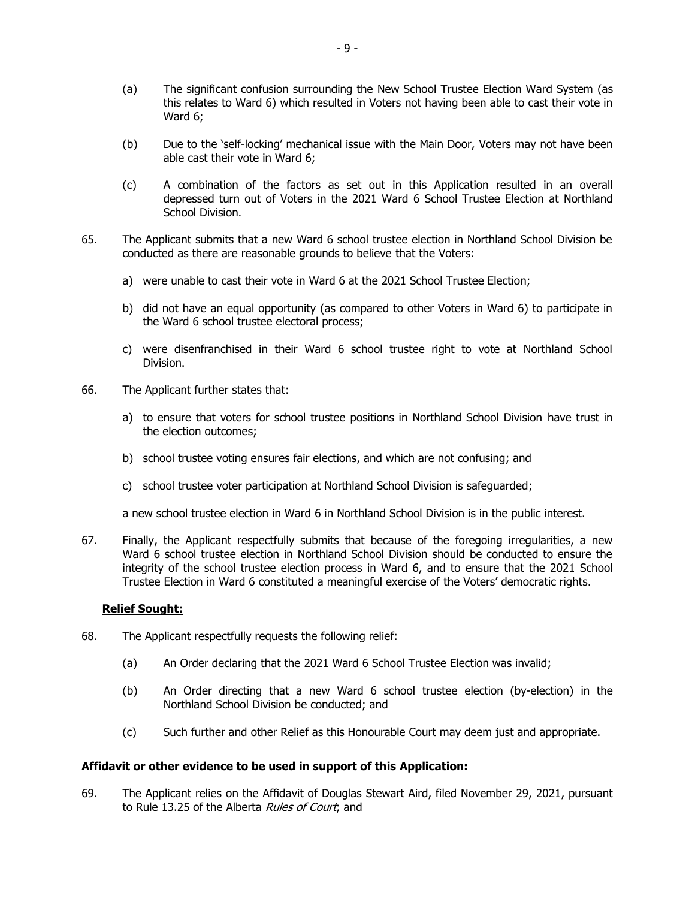- (a) The significant confusion surrounding the New School Trustee Election Ward System (as this relates to Ward 6) which resulted in Voters not having been able to cast their vote in Ward 6;
- (b) Due to the 'self-locking' mechanical issue with the Main Door, Voters may not have been able cast their vote in Ward 6;
- (c) A combination of the factors as set out in this Application resulted in an overall depressed turn out of Voters in the 2021 Ward 6 School Trustee Election at Northland School Division.
- 65. The Applicant submits that a new Ward 6 school trustee election in Northland School Division be conducted as there are reasonable grounds to believe that the Voters:
	- a) were unable to cast their vote in Ward 6 at the 2021 School Trustee Election;
	- b) did not have an equal opportunity (as compared to other Voters in Ward 6) to participate in the Ward 6 school trustee electoral process;
	- c) were disenfranchised in their Ward 6 school trustee right to vote at Northland School Division.
- 66. The Applicant further states that:
	- a) to ensure that voters for school trustee positions in Northland School Division have trust in the election outcomes;
	- b) school trustee voting ensures fair elections, and which are not confusing; and
	- c) school trustee voter participation at Northland School Division is safeguarded;

a new school trustee election in Ward 6 in Northland School Division is in the public interest.

67. Finally, the Applicant respectfully submits that because of the foregoing irregularities, a new Ward 6 school trustee election in Northland School Division should be conducted to ensure the integrity of the school trustee election process in Ward 6, and to ensure that the 2021 School Trustee Election in Ward 6 constituted a meaningful exercise of the Voters' democratic rights.

# **Relief Sought:**

- 68. The Applicant respectfully requests the following relief:
	- (a) An Order declaring that the 2021 Ward 6 School Trustee Election was invalid;
	- (b) An Order directing that a new Ward 6 school trustee election (by-election) in the Northland School Division be conducted; and
	- (c) Such further and other Relief as this Honourable Court may deem just and appropriate.

### **Affidavit or other evidence to be used in support of this Application:**

69. The Applicant relies on the Affidavit of Douglas Stewart Aird, filed November 29, 2021, pursuant to Rule 13.25 of the Alberta Rules of Court; and